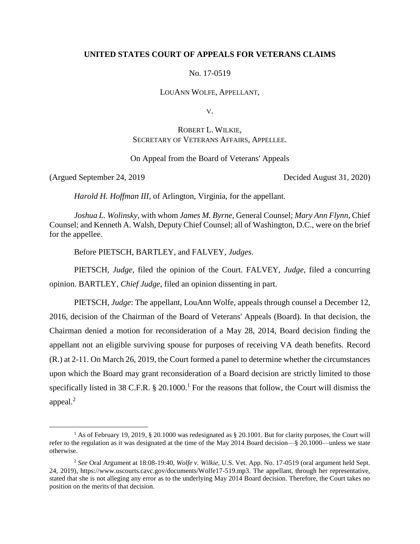## **UNITED STATES COURT OF APPEALS FOR VETERANS CLAIMS**

No. 17-0519

LOUANN WOLFE, APPELLANT,

V.

## ROBERT L. WILKIE, SECRETARY OF VETERANS AFFAIRS, APPELLEE.

On Appeal from the Board of Veterans' Appeals

(Argued September 24, 2019 Decided August 31, 2020)

 $\overline{a}$ 

*Harold H. Hoffman III*, of Arlington, Virginia, for the appellant.

*Joshua L. Wolinsky*, with whom *James M. Byrne*, General Counsel; *Mary Ann Flynn*, Chief Counsel; and Kenneth A. Walsh, Deputy Chief Counsel; all of Washington, D.C., were on the brief for the appellee.

Before PIETSCH, BARTLEY, and FALVEY, *Judges*.

PIETSCH, *Judge*, filed the opinion of the Court. FALVEY, *Judge*, filed a concurring opinion. BARTLEY, *Chief Judge*, filed an opinion dissenting in part.

PIETSCH, *Judge*: The appellant, LouAnn Wolfe, appeals through counsel a December 12, 2016, decision of the Chairman of the Board of Veterans' Appeals (Board). In that decision, the Chairman denied a motion for reconsideration of a May 28, 2014, Board decision finding the appellant not an eligible surviving spouse for purposes of receiving VA death benefits. Record (R.) at 2-11. On March 26, 2019, the Court formed a panel to determine whether the circumstances upon which the Board may grant reconsideration of a Board decision are strictly limited to those specifically listed in 38 C.F.R.  $\S$  20.1000.<sup>1</sup> For the reasons that follow, the Court will dismiss the appeal. 2

<sup>1</sup> As of February 19, 2019, § 20.1000 was redesignated as § 20.1001. But for clarity purposes, the Court will refer to the regulation as it was designated at the time of the May 2014 Board decision—§ 20.1000—unless we state otherwise.

<sup>2</sup> *See* Oral Argument at 18:08-19:40, *Wolfe v. Wilkie*, U.S. Vet. App. No. 17-0519 (oral argument held Sept. 24, 2019), https://www.uscourts.cavc.gov/documents/Wolfe17-519.mp3. The appellant, through her representative, stated that she is not alleging any error as to the underlying May 2014 Board decision. Therefore, the Court takes no position on the merits of that decision.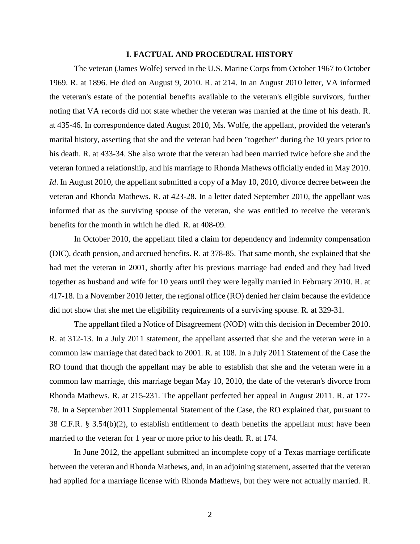### **I. FACTUAL AND PROCEDURAL HISTORY**

The veteran (James Wolfe) served in the U.S. Marine Corps from October 1967 to October 1969. R. at 1896. He died on August 9, 2010. R. at 214. In an August 2010 letter, VA informed the veteran's estate of the potential benefits available to the veteran's eligible survivors, further noting that VA records did not state whether the veteran was married at the time of his death. R. at 435-46. In correspondence dated August 2010, Ms. Wolfe, the appellant, provided the veteran's marital history, asserting that she and the veteran had been "together" during the 10 years prior to his death. R. at 433-34. She also wrote that the veteran had been married twice before she and the veteran formed a relationship, and his marriage to Rhonda Mathews officially ended in May 2010. *Id*. In August 2010, the appellant submitted a copy of a May 10, 2010, divorce decree between the veteran and Rhonda Mathews. R. at 423-28. In a letter dated September 2010, the appellant was informed that as the surviving spouse of the veteran, she was entitled to receive the veteran's benefits for the month in which he died. R. at 408-09.

In October 2010, the appellant filed a claim for dependency and indemnity compensation (DIC), death pension, and accrued benefits. R. at 378-85. That same month, she explained that she had met the veteran in 2001, shortly after his previous marriage had ended and they had lived together as husband and wife for 10 years until they were legally married in February 2010. R. at 417-18. In a November 2010 letter, the regional office (RO) denied her claim because the evidence did not show that she met the eligibility requirements of a surviving spouse. R. at 329-31.

The appellant filed a Notice of Disagreement (NOD) with this decision in December 2010. R. at 312-13. In a July 2011 statement, the appellant asserted that she and the veteran were in a common law marriage that dated back to 2001. R. at 108. In a July 2011 Statement of the Case the RO found that though the appellant may be able to establish that she and the veteran were in a common law marriage, this marriage began May 10, 2010, the date of the veteran's divorce from Rhonda Mathews. R. at 215-231. The appellant perfected her appeal in August 2011. R. at 177- 78. In a September 2011 Supplemental Statement of the Case, the RO explained that, pursuant to 38 C.F.R. § 3.54(b)(2), to establish entitlement to death benefits the appellant must have been married to the veteran for 1 year or more prior to his death. R. at 174.

In June 2012, the appellant submitted an incomplete copy of a Texas marriage certificate between the veteran and Rhonda Mathews, and, in an adjoining statement, asserted that the veteran had applied for a marriage license with Rhonda Mathews, but they were not actually married. R.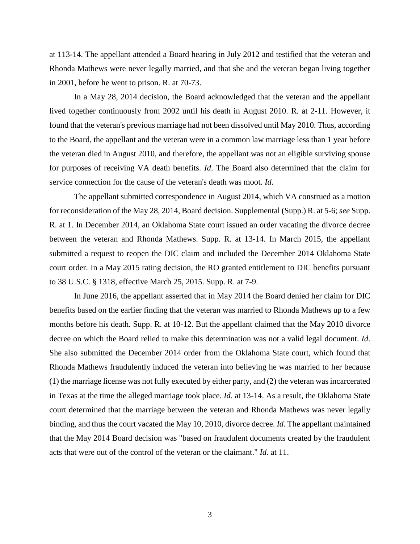at 113-14. The appellant attended a Board hearing in July 2012 and testified that the veteran and Rhonda Mathews were never legally married, and that she and the veteran began living together in 2001, before he went to prison. R. at 70-73.

In a May 28, 2014 decision, the Board acknowledged that the veteran and the appellant lived together continuously from 2002 until his death in August 2010. R. at 2-11. However, it found that the veteran's previous marriage had not been dissolved until May 2010. Thus, according to the Board, the appellant and the veteran were in a common law marriage less than 1 year before the veteran died in August 2010, and therefore, the appellant was not an eligible surviving spouse for purposes of receiving VA death benefits. *Id*. The Board also determined that the claim for service connection for the cause of the veteran's death was moot. *Id*.

The appellant submitted correspondence in August 2014, which VA construed as a motion for reconsideration of the May 28, 2014, Board decision. Supplemental (Supp.) R. at 5-6; *see* Supp. R. at 1. In December 2014, an Oklahoma State court issued an order vacating the divorce decree between the veteran and Rhonda Mathews. Supp. R. at 13-14. In March 2015, the appellant submitted a request to reopen the DIC claim and included the December 2014 Oklahoma State court order. In a May 2015 rating decision, the RO granted entitlement to DIC benefits pursuant to 38 U.S.C. § 1318, effective March 25, 2015. Supp. R. at 7-9.

In June 2016, the appellant asserted that in May 2014 the Board denied her claim for DIC benefits based on the earlier finding that the veteran was married to Rhonda Mathews up to a few months before his death. Supp. R. at 10-12. But the appellant claimed that the May 2010 divorce decree on which the Board relied to make this determination was not a valid legal document. *Id*. She also submitted the December 2014 order from the Oklahoma State court, which found that Rhonda Mathews fraudulently induced the veteran into believing he was married to her because (1) the marriage license was not fully executed by either party, and (2) the veteran was incarcerated in Texas at the time the alleged marriage took place. *Id.* at 13-14. As a result, the Oklahoma State court determined that the marriage between the veteran and Rhonda Mathews was never legally binding, and thus the court vacated the May 10, 2010, divorce decree. *Id*. The appellant maintained that the May 2014 Board decision was "based on fraudulent documents created by the fraudulent acts that were out of the control of the veteran or the claimant." *Id.* at 11.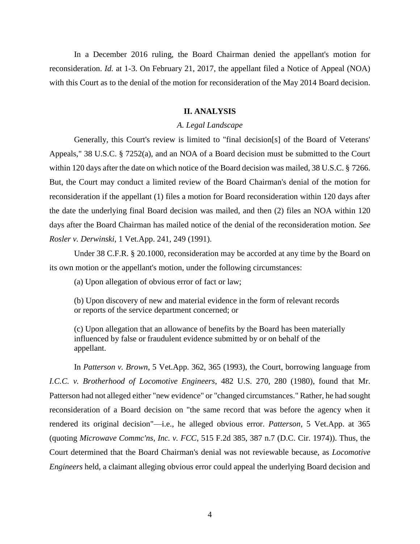In a December 2016 ruling, the Board Chairman denied the appellant's motion for reconsideration. *Id.* at 1-3. On February 21, 2017, the appellant filed a Notice of Appeal (NOA) with this Court as to the denial of the motion for reconsideration of the May 2014 Board decision.

### **II. ANALYSIS**

## *A. Legal Landscape*

Generally, this Court's review is limited to "final decision[s] of the Board of Veterans' Appeals," 38 U.S.C. § 7252(a), and an NOA of a Board decision must be submitted to the Court within 120 days after the date on which notice of the Board decision was mailed, 38 U.S.C. § 7266. But, the Court may conduct a limited review of the Board Chairman's denial of the motion for reconsideration if the appellant (1) files a motion for Board reconsideration within 120 days after the date the underlying final Board decision was mailed, and then (2) files an NOA within 120 days after the Board Chairman has mailed notice of the denial of the reconsideration motion. *See Rosler v. Derwinski*, 1 Vet.App. 241, 249 (1991).

Under 38 C.F.R. § 20.1000, reconsideration may be accorded at any time by the Board on its own motion or the appellant's motion, under the following circumstances:

(a) Upon allegation of obvious error of fact or law;

(b) Upon discovery of new and material evidence in the form of relevant records or reports of the service department concerned; or

(c) Upon allegation that an allowance of benefits by the Board has been materially influenced by false or fraudulent evidence submitted by or on behalf of the appellant.

In *Patterson v. Brown*, 5 Vet.App. 362, 365 (1993), the Court, borrowing language from *I.C.C. v. Brotherhood of Locomotive Engineers*, 482 U.S. 270, 280 (1980), found that Mr. Patterson had not alleged either "new evidence" or "changed circumstances." Rather, he had sought reconsideration of a Board decision on "the same record that was before the agency when it rendered its original decision"—i.e., he alleged obvious error. *Patterson*, 5 Vet.App. at 365 (quoting *Microwave Commc'ns, Inc. v. FCC*, 515 F.2d 385, 387 n.7 (D.C. Cir. 1974)). Thus, the Court determined that the Board Chairman's denial was not reviewable because, as *Locomotive Engineers* held, a claimant alleging obvious error could appeal the underlying Board decision and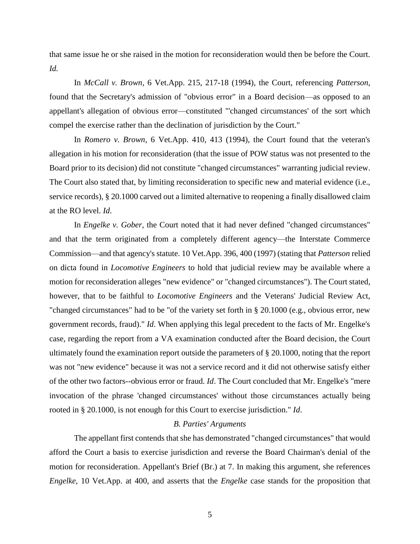that same issue he or she raised in the motion for reconsideration would then be before the Court. *Id.*

In *McCall v. Brown*, 6 Vet.App. 215, 217-18 (1994), the Court, referencing *Patterson*, found that the Secretary's admission of "obvious error" in a Board decision—as opposed to an appellant's allegation of obvious error—constituted "'changed circumstances' of the sort which compel the exercise rather than the declination of jurisdiction by the Court."

In *Romero v. Brown*, 6 Vet.App. 410, 413 (1994), the Court found that the veteran's allegation in his motion for reconsideration (that the issue of POW status was not presented to the Board prior to its decision) did not constitute "changed circumstances" warranting judicial review. The Court also stated that, by limiting reconsideration to specific new and material evidence (i.e., service records), § 20.1000 carved out a limited alternative to reopening a finally disallowed claim at the RO level. *Id*.

In *Engelke v. Gober*, the Court noted that it had never defined "changed circumstances" and that the term originated from a completely different agency—the Interstate Commerce Commission—and that agency's statute. 10 Vet.App. 396, 400 (1997) (stating that *Patterson* relied on dicta found in *Locomotive Engineers* to hold that judicial review may be available where a motion for reconsideration alleges "new evidence" or "changed circumstances"). The Court stated, however, that to be faithful to *Locomotive Engineers* and the Veterans' Judicial Review Act, "changed circumstances" had to be "of the variety set forth in § 20.1000 (e.g., obvious error, new government records, fraud)." *Id*. When applying this legal precedent to the facts of Mr. Engelke's case, regarding the report from a VA examination conducted after the Board decision, the Court ultimately found the examination report outside the parameters of § 20.1000, noting that the report was not "new evidence" because it was not a service record and it did not otherwise satisfy either of the other two factors--obvious error or fraud. *Id*. The Court concluded that Mr. Engelke's "mere invocation of the phrase 'changed circumstances' without those circumstances actually being rooted in § 20.1000, is not enough for this Court to exercise jurisdiction." *Id*.

## *B. Parties' Arguments*

The appellant first contends that she has demonstrated "changed circumstances" that would afford the Court a basis to exercise jurisdiction and reverse the Board Chairman's denial of the motion for reconsideration. Appellant's Brief (Br.) at 7. In making this argument, she references *Engelke*, 10 Vet.App. at 400, and asserts that the *Engelke* case stands for the proposition that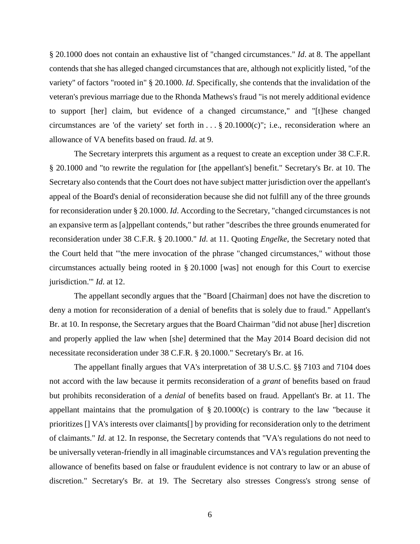§ 20.1000 does not contain an exhaustive list of "changed circumstances." *Id*. at 8. The appellant contends that she has alleged changed circumstances that are, although not explicitly listed, "of the variety" of factors "rooted in" § 20.1000. *Id*. Specifically, she contends that the invalidation of the veteran's previous marriage due to the Rhonda Mathews's fraud "is not merely additional evidence to support [her] claim, but evidence of a changed circumstance," and "[t]hese changed circumstances are 'of the variety' set forth in  $\dots$  § 20.1000 $(c)$ "; i.e., reconsideration where an allowance of VA benefits based on fraud. *Id*. at 9.

The Secretary interprets this argument as a request to create an exception under 38 C.F.R. § 20.1000 and "to rewrite the regulation for [the appellant's] benefit." Secretary's Br. at 10. The Secretary also contends that the Court does not have subject matter jurisdiction over the appellant's appeal of the Board's denial of reconsideration because she did not fulfill any of the three grounds for reconsideration under § 20.1000. *Id*. According to the Secretary, "changed circumstances is not an expansive term as [a]ppellant contends," but rather "describes the three grounds enumerated for reconsideration under 38 C.F.R. § 20.1000." *Id*. at 11. Quoting *Engelke*, the Secretary noted that the Court held that "'the mere invocation of the phrase "changed circumstances," without those circumstances actually being rooted in § 20.1000 [was] not enough for this Court to exercise jurisdiction.'" *Id*. at 12.

The appellant secondly argues that the "Board [Chairman] does not have the discretion to deny a motion for reconsideration of a denial of benefits that is solely due to fraud." Appellant's Br. at 10. In response, the Secretary argues that the Board Chairman "did not abuse [her] discretion and properly applied the law when [she] determined that the May 2014 Board decision did not necessitate reconsideration under 38 C.F.R. § 20.1000." Secretary's Br. at 16.

The appellant finally argues that VA's interpretation of 38 U.S.C. §§ 7103 and 7104 does not accord with the law because it permits reconsideration of a *grant* of benefits based on fraud but prohibits reconsideration of a *denial* of benefits based on fraud. Appellant's Br. at 11. The appellant maintains that the promulgation of  $\S 20.1000(c)$  is contrary to the law "because it prioritizes [] VA's interests over claimants[] by providing for reconsideration only to the detriment of claimants." *Id*. at 12. In response, the Secretary contends that "VA's regulations do not need to be universally veteran-friendly in all imaginable circumstances and VA's regulation preventing the allowance of benefits based on false or fraudulent evidence is not contrary to law or an abuse of discretion." Secretary's Br. at 19. The Secretary also stresses Congress's strong sense of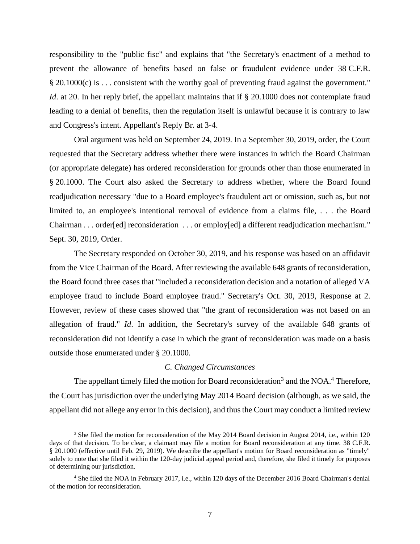responsibility to the "public fisc" and explains that "the Secretary's enactment of a method to prevent the allowance of benefits based on false or fraudulent evidence under 38 C.F.R. § 20.1000(c) is . . . consistent with the worthy goal of preventing fraud against the government." *Id*. at 20. In her reply brief, the appellant maintains that if § 20.1000 does not contemplate fraud leading to a denial of benefits, then the regulation itself is unlawful because it is contrary to law and Congress's intent. Appellant's Reply Br. at 3-4.

Oral argument was held on September 24, 2019. In a September 30, 2019, order, the Court requested that the Secretary address whether there were instances in which the Board Chairman (or appropriate delegate) has ordered reconsideration for grounds other than those enumerated in § 20.1000. The Court also asked the Secretary to address whether, where the Board found readjudication necessary "due to a Board employee's fraudulent act or omission, such as, but not limited to, an employee's intentional removal of evidence from a claims file, . . . the Board Chairman . . . order[ed] reconsideration . . . or employ[ed] a different readjudication mechanism." Sept. 30, 2019, Order.

The Secretary responded on October 30, 2019, and his response was based on an affidavit from the Vice Chairman of the Board. After reviewing the available 648 grants of reconsideration, the Board found three cases that "included a reconsideration decision and a notation of alleged VA employee fraud to include Board employee fraud." Secretary's Oct. 30, 2019, Response at 2. However, review of these cases showed that "the grant of reconsideration was not based on an allegation of fraud." *Id*. In addition, the Secretary's survey of the available 648 grants of reconsideration did not identify a case in which the grant of reconsideration was made on a basis outside those enumerated under § 20.1000.

#### *C. Changed Circumstances*

The appellant timely filed the motion for Board reconsideration<sup>3</sup> and the NOA.<sup>4</sup> Therefore, the Court has jurisdiction over the underlying May 2014 Board decision (although, as we said, the appellant did not allege any error in this decision), and thus the Court may conduct a limited review

<sup>&</sup>lt;sup>3</sup> She filed the motion for reconsideration of the May 2014 Board decision in August 2014, i.e., within 120 days of that decision. To be clear, a claimant may file a motion for Board reconsideration at any time. 38 C.F.R. § 20.1000 (effective until Feb. 29, 2019). We describe the appellant's motion for Board reconsideration as "timely" solely to note that she filed it within the 120-day judicial appeal period and, therefore, she filed it timely for purposes of determining our jurisdiction.

<sup>4</sup> She filed the NOA in February 2017, i.e., within 120 days of the December 2016 Board Chairman's denial of the motion for reconsideration.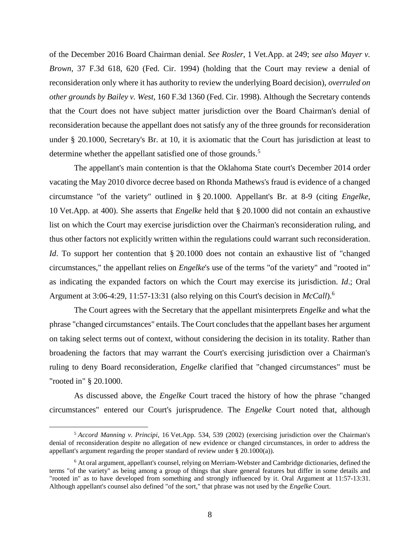of the December 2016 Board Chairman denial. *See Rosler*, 1 Vet.App. at 249; *see also Mayer v. Brown*, 37 F.3d 618, 620 (Fed. Cir. 1994) (holding that the Court may review a denial of reconsideration only where it has authority to review the underlying Board decision), *overruled on other grounds by Bailey v. West*, 160 F.3d 1360 (Fed. Cir. 1998). Although the Secretary contends that the Court does not have subject matter jurisdiction over the Board Chairman's denial of reconsideration because the appellant does not satisfy any of the three grounds for reconsideration under § 20.1000, Secretary's Br. at 10, it is axiomatic that the Court has jurisdiction at least to determine whether the appellant satisfied one of those grounds.<sup>5</sup>

The appellant's main contention is that the Oklahoma State court's December 2014 order vacating the May 2010 divorce decree based on Rhonda Mathews's fraud is evidence of a changed circumstance "of the variety" outlined in § 20.1000. Appellant's Br. at 8-9 (citing *Engelke*, 10 Vet.App. at 400). She asserts that *Engelke* held that § 20.1000 did not contain an exhaustive list on which the Court may exercise jurisdiction over the Chairman's reconsideration ruling, and thus other factors not explicitly written within the regulations could warrant such reconsideration. *Id*. To support her contention that § 20.1000 does not contain an exhaustive list of "changed" circumstances," the appellant relies on *Engelke*'s use of the terms "of the variety" and "rooted in" as indicating the expanded factors on which the Court may exercise its jurisdiction. *Id*.; Oral Argument at 3:06-4:29, 11:57-13:31 (also relying on this Court's decision in *McCall*). 6

The Court agrees with the Secretary that the appellant misinterprets *Engelke* and what the phrase "changed circumstances" entails. The Court concludes that the appellant bases her argument on taking select terms out of context, without considering the decision in its totality. Rather than broadening the factors that may warrant the Court's exercising jurisdiction over a Chairman's ruling to deny Board reconsideration, *Engelke* clarified that "changed circumstances" must be "rooted in" § 20.1000.

As discussed above, the *Engelke* Court traced the history of how the phrase "changed circumstances" entered our Court's jurisprudence. The *Engelke* Court noted that, although

<sup>5</sup> *Accord Manning v. Principi*, 16 Vet.App. 534, 539 (2002) (exercising jurisdiction over the Chairman's denial of reconsideration despite no allegation of new evidence or changed circumstances, in order to address the appellant's argument regarding the proper standard of review under § 20.1000(a)).

<sup>6</sup> At oral argument, appellant's counsel, relying on Merriam-Webster and Cambridge dictionaries, defined the terms "of the variety" as being among a group of things that share general features but differ in some details and "rooted in" as to have developed from something and strongly influenced by it. Oral Argument at 11:57-13:31. Although appellant's counsel also defined "of the sort," that phrase was not used by the *Engelke* Court.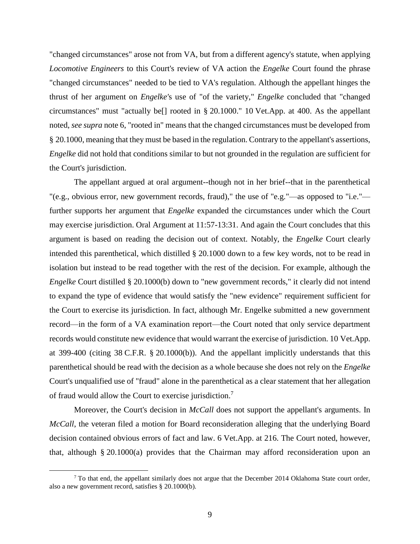"changed circumstances" arose not from VA, but from a different agency's statute, when applying *Locomotive Engineers* to this Court's review of VA action the *Engelke* Court found the phrase "changed circumstances" needed to be tied to VA's regulation. Although the appellant hinges the thrust of her argument on *Engelke'*s use of "of the variety," *Engelke* concluded that "changed circumstances" must "actually be[] rooted in § 20.1000." 10 Vet.App. at 400. As the appellant noted, *see supra* note 6, "rooted in" means that the changed circumstances must be developed from § 20.1000, meaning that they must be based in the regulation. Contrary to the appellant's assertions, *Engelke* did not hold that conditions similar to but not grounded in the regulation are sufficient for the Court's jurisdiction.

The appellant argued at oral argument--though not in her brief--that in the parenthetical "(e.g., obvious error, new government records, fraud)," the use of "e.g."—as opposed to "i.e." further supports her argument that *Engelke* expanded the circumstances under which the Court may exercise jurisdiction. Oral Argument at 11:57-13:31. And again the Court concludes that this argument is based on reading the decision out of context. Notably, the *Engelke* Court clearly intended this parenthetical, which distilled § 20.1000 down to a few key words, not to be read in isolation but instead to be read together with the rest of the decision. For example, although the *Engelke* Court distilled § 20.1000(b) down to "new government records," it clearly did not intend to expand the type of evidence that would satisfy the "new evidence" requirement sufficient for the Court to exercise its jurisdiction. In fact, although Mr. Engelke submitted a new government record—in the form of a VA examination report—the Court noted that only service department records would constitute new evidence that would warrant the exercise of jurisdiction. 10 Vet.App. at 399-400 (citing 38 C.F.R. § 20.1000(b)). And the appellant implicitly understands that this parenthetical should be read with the decision as a whole because she does not rely on the *Engelke* Court's unqualified use of "fraud" alone in the parenthetical as a clear statement that her allegation of fraud would allow the Court to exercise jurisdiction.<sup>7</sup>

Moreover, the Court's decision in *McCall* does not support the appellant's arguments. In *McCall*, the veteran filed a motion for Board reconsideration alleging that the underlying Board decision contained obvious errors of fact and law. 6 Vet.App. at 216. The Court noted, however, that, although § 20.1000(a) provides that the Chairman may afford reconsideration upon an

 $7$  To that end, the appellant similarly does not argue that the December 2014 Oklahoma State court order, also a new government record, satisfies § 20.1000(b).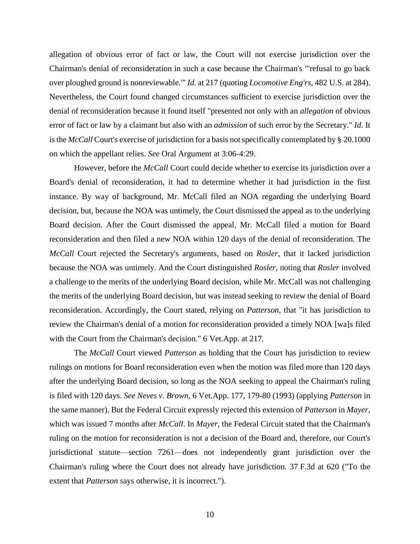allegation of obvious error of fact or law, the Court will not exercise jurisdiction over the Chairman's denial of reconsideration in such a case because the Chairman's "'refusal to go back over ploughed ground is nonreviewable.'" *Id*. at 217 (quoting *Locomotive Eng'rs*, 482 U.S. at 284). Nevertheless, the Court found changed circumstances sufficient to exercise jurisdiction over the denial of reconsideration because it found itself "presented not only with an *allegation* of obvious error of fact or law by a claimant but also with an *admission* of such error by the Secretary." *Id*. It is the *McCall* Court's exercise of jurisdiction for a basis not specifically contemplated by § 20.1000 on which the appellant relies. *See* Oral Argument at 3:06-4:29.

However, before the *McCall* Court could decide whether to exercise its jurisdiction over a Board's denial of reconsideration, it had to determine whether it had jurisdiction in the first instance. By way of background, Mr. McCall filed an NOA regarding the underlying Board decision, but, because the NOA was untimely, the Court dismissed the appeal as to the underlying Board decision. After the Court dismissed the appeal, Mr. McCall filed a motion for Board reconsideration and then filed a new NOA within 120 days of the denial of reconsideration. The *McCall* Court rejected the Secretary's arguments, based on *Rosler*, that it lacked jurisdiction because the NOA was untimely. And the Court distinguished *Rosler*, noting that *Rosler* involved a challenge to the merits of the underlying Board decision, while Mr. McCall was not challenging the merits of the underlying Board decision, but was instead seeking to review the denial of Board reconsideration. Accordingly, the Court stated, relying on *Patterson*, that "it has jurisdiction to review the Chairman's denial of a motion for reconsideration provided a timely NOA [wa]s filed with the Court from the Chairman's decision." 6 Vet.App. at 217.

The *McCall* Court viewed *Patterson* as holding that the Court has jurisdiction to review rulings on motions for Board reconsideration even when the motion was filed more than 120 days after the underlying Board decision, so long as the NOA seeking to appeal the Chairman's ruling is filed with 120 days. *See Neves v. Brown*, 6 Vet.App. 177, 179-80 (1993) (applying *Patterson* in the same manner). But the Federal Circuit expressly rejected this extension of *Patterson* in *Mayer*, which was issued 7 months after *McCall*. In *Mayer*, the Federal Circuit stated that the Chairman's ruling on the motion for reconsideration is not a decision of the Board and, therefore, our Court's jurisdictional statute—section 7261—does not independently grant jurisdiction over the Chairman's ruling where the Court does not already have jurisdiction. 37 F.3d at 620 ("To the extent that *Patterson* says otherwise, it is incorrect.").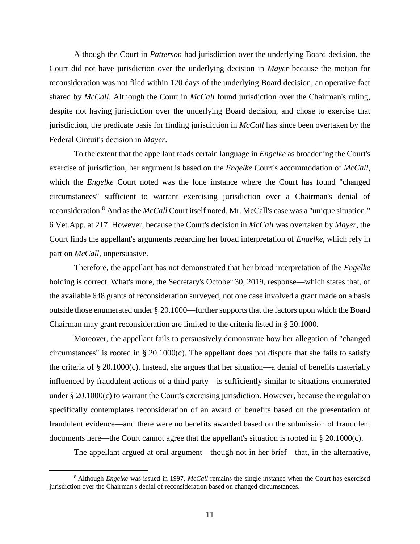Although the Court in *Patterson* had jurisdiction over the underlying Board decision, the Court did not have jurisdiction over the underlying decision in *Mayer* because the motion for reconsideration was not filed within 120 days of the underlying Board decision, an operative fact shared by *McCall*. Although the Court in *McCall* found jurisdiction over the Chairman's ruling, despite not having jurisdiction over the underlying Board decision, and chose to exercise that jurisdiction, the predicate basis for finding jurisdiction in *McCall* has since been overtaken by the Federal Circuit's decision in *Mayer*.

To the extent that the appellant reads certain language in *Engelke* as broadening the Court's exercise of jurisdiction, her argument is based on the *Engelke* Court's accommodation of *McCall*, which the *Engelke* Court noted was the lone instance where the Court has found "changed circumstances" sufficient to warrant exercising jurisdiction over a Chairman's denial of reconsideration.<sup>8</sup> And as the *McCall* Court itself noted, Mr. McCall's case was a "unique situation." 6 Vet.App. at 217. However, because the Court's decision in *McCall* was overtaken by *Mayer*, the Court finds the appellant's arguments regarding her broad interpretation of *Engelke*, which rely in part on *McCall*, unpersuasive.

Therefore, the appellant has not demonstrated that her broad interpretation of the *Engelke* holding is correct. What's more, the Secretary's October 30, 2019, response—which states that, of the available 648 grants of reconsideration surveyed, not one case involved a grant made on a basis outside those enumerated under § 20.1000—further supports that the factors upon which the Board Chairman may grant reconsideration are limited to the criteria listed in § 20.1000.

Moreover, the appellant fails to persuasively demonstrate how her allegation of "changed circumstances" is rooted in  $\S 20.1000(c)$ . The appellant does not dispute that she fails to satisfy the criteria of § 20.1000(c). Instead, she argues that her situation—a denial of benefits materially influenced by fraudulent actions of a third party—is sufficiently similar to situations enumerated under § 20.1000(c) to warrant the Court's exercising jurisdiction. However, because the regulation specifically contemplates reconsideration of an award of benefits based on the presentation of fraudulent evidence—and there were no benefits awarded based on the submission of fraudulent documents here—the Court cannot agree that the appellant's situation is rooted in § 20.1000(c).

The appellant argued at oral argument—though not in her brief—that, in the alternative,

<sup>8</sup> Although *Engelke* was issued in 1997, *McCall* remains the single instance when the Court has exercised jurisdiction over the Chairman's denial of reconsideration based on changed circumstances.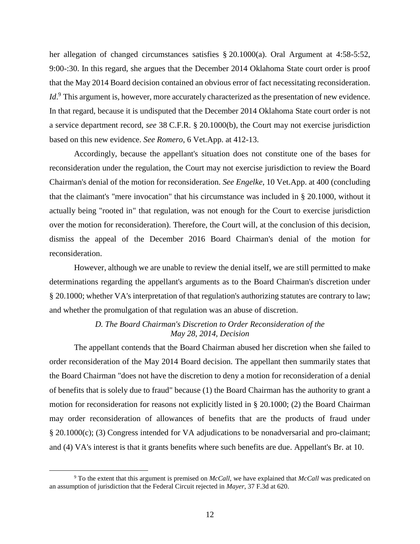her allegation of changed circumstances satisfies § 20.1000(a). Oral Argument at 4:58-5:52, 9:00-:30. In this regard, she argues that the December 2014 Oklahoma State court order is proof that the May 2014 Board decision contained an obvious error of fact necessitating reconsideration. *Id*.<sup>9</sup> This argument is, however, more accurately characterized as the presentation of new evidence. In that regard, because it is undisputed that the December 2014 Oklahoma State court order is not a service department record, *see* 38 C.F.R. § 20.1000(b), the Court may not exercise jurisdiction based on this new evidence. *See Romero*, 6 Vet.App. at 412-13.

Accordingly, because the appellant's situation does not constitute one of the bases for reconsideration under the regulation, the Court may not exercise jurisdiction to review the Board Chairman's denial of the motion for reconsideration. *See Engelke*, 10 Vet.App. at 400 (concluding that the claimant's "mere invocation" that his circumstance was included in § 20.1000, without it actually being "rooted in" that regulation, was not enough for the Court to exercise jurisdiction over the motion for reconsideration). Therefore, the Court will, at the conclusion of this decision, dismiss the appeal of the December 2016 Board Chairman's denial of the motion for reconsideration.

However, although we are unable to review the denial itself, we are still permitted to make determinations regarding the appellant's arguments as to the Board Chairman's discretion under § 20.1000; whether VA's interpretation of that regulation's authorizing statutes are contrary to law; and whether the promulgation of that regulation was an abuse of discretion.

## *D. The Board Chairman's Discretion to Order Reconsideration of the May 28, 2014, Decision*

The appellant contends that the Board Chairman abused her discretion when she failed to order reconsideration of the May 2014 Board decision. The appellant then summarily states that the Board Chairman "does not have the discretion to deny a motion for reconsideration of a denial of benefits that is solely due to fraud" because (1) the Board Chairman has the authority to grant a motion for reconsideration for reasons not explicitly listed in § 20.1000; (2) the Board Chairman may order reconsideration of allowances of benefits that are the products of fraud under § 20.1000(c); (3) Congress intended for VA adjudications to be nonadversarial and pro-claimant; and (4) VA's interest is that it grants benefits where such benefits are due. Appellant's Br. at 10.

<sup>9</sup> To the extent that this argument is premised on *McCall*, we have explained that *McCall* was predicated on an assumption of jurisdiction that the Federal Circuit rejected in *Mayer*, 37 F.3d at 620.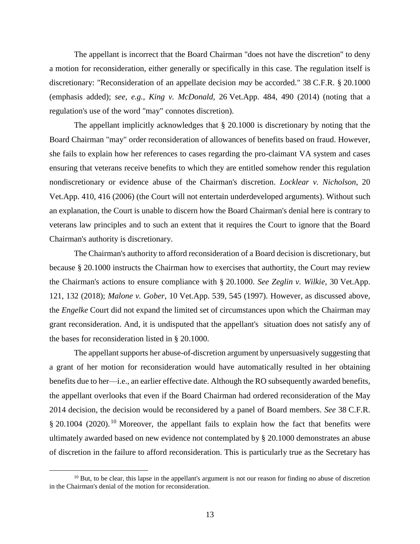The appellant is incorrect that the Board Chairman "does not have the discretion" to deny a motion for reconsideration, either generally or specifically in this case. The regulation itself is discretionary: "Reconsideration of an appellate decision *may* be accorded." 38 C.F.R. § 20.1000 (emphasis added); *see, e.g.*, *King v. McDonald*, 26 Vet.App. 484, 490 (2014) (noting that a regulation's use of the word "may" connotes discretion).

The appellant implicitly acknowledges that § 20.1000 is discretionary by noting that the Board Chairman "may" order reconsideration of allowances of benefits based on fraud. However, she fails to explain how her references to cases regarding the pro-claimant VA system and cases ensuring that veterans receive benefits to which they are entitled somehow render this regulation nondiscretionary or evidence abuse of the Chairman's discretion. *Locklear v. Nicholson*, 20 Vet.App. 410, 416 (2006) (the Court will not entertain underdeveloped arguments). Without such an explanation, the Court is unable to discern how the Board Chairman's denial here is contrary to veterans law principles and to such an extent that it requires the Court to ignore that the Board Chairman's authority is discretionary.

The Chairman's authority to afford reconsideration of a Board decision is discretionary, but because § 20.1000 instructs the Chairman how to exercises that authortity, the Court may review the Chairman's actions to ensure compliance with § 20.1000. *See Zeglin v. Wilkie*, 30 Vet.App. 121, 132 (2018); *Malone v. Gober*, 10 Vet.App. 539, 545 (1997). However, as discussed above, the *Engelke* Court did not expand the limited set of circumstances upon which the Chairman may grant reconsideration. And, it is undisputed that the appellant's situation does not satisfy any of the bases for reconsideration listed in § 20.1000.

The appellant supports her abuse-of-discretion argument by unpersuasively suggesting that a grant of her motion for reconsideration would have automatically resulted in her obtaining benefits due to her—i.e., an earlier effective date. Although the RO subsequently awarded benefits, the appellant overlooks that even if the Board Chairman had ordered reconsideration of the May 2014 decision, the decision would be reconsidered by a panel of Board members. *See* 38 C.F.R.  $\S 20.1004$  (2020).<sup>10</sup> Moreover, the appellant fails to explain how the fact that benefits were ultimately awarded based on new evidence not contemplated by § 20.1000 demonstrates an abuse of discretion in the failure to afford reconsideration. This is particularly true as the Secretary has

 $10$  But, to be clear, this lapse in the appellant's argument is not our reason for finding no abuse of discretion in the Chairman's denial of the motion for reconsideration.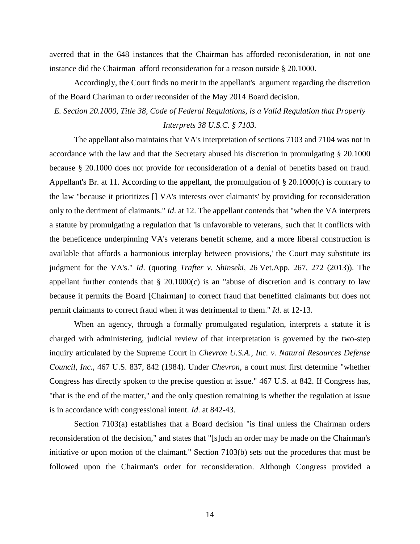averred that in the 648 instances that the Chairman has afforded reconisderation, in not one instance did the Chairman afford reconsideration for a reason outside § 20.1000.

Accordingly, the Court finds no merit in the appellant's argument regarding the discretion of the Board Chariman to order reconsider of the May 2014 Board decision.

# *E. Section 20.1000, Title 38, Code of Federal Regulations, is a Valid Regulation that Properly Interprets 38 U.S.C. § 7103.*

The appellant also maintains that VA's interpretation of sections 7103 and 7104 was not in accordance with the law and that the Secretary abused his discretion in promulgating § 20.1000 because § 20.1000 does not provide for reconsideration of a denial of benefits based on fraud. Appellant's Br. at 11. According to the appellant, the promulgation of § 20.1000(c) is contrary to the law "because it prioritizes [] VA's interests over claimants' by providing for reconsideration only to the detriment of claimants." *Id*. at 12. The appellant contends that "when the VA interprets a statute by promulgating a regulation that 'is unfavorable to veterans, such that it conflicts with the beneficence underpinning VA's veterans benefit scheme, and a more liberal construction is available that affords a harmonious interplay between provisions,' the Court may substitute its judgment for the VA's." *Id*. (quoting *Trafter v. Shinseki*, 26 Vet.App. 267, 272 (2013)). The appellant further contends that  $\S$  20.1000 $(c)$  is an "abuse of discretion and is contrary to law because it permits the Board [Chairman] to correct fraud that benefitted claimants but does not permit claimants to correct fraud when it was detrimental to them." *Id*. at 12-13.

When an agency, through a formally promulgated regulation, interprets a statute it is charged with administering, judicial review of that interpretation is governed by the two-step inquiry articulated by the Supreme Court in *Chevron U.S.A., Inc. v. Natural Resources Defense Council*, *Inc.*, 467 U.S. 837, 842 (1984). Under *[Chevron](https://1.next.westlaw.com/Link/Document/FullText?findType=Y&serNum=1984130736&originatingDoc=Ia3ee3855ba2511e191598982704508d1&refType=RP&originationContext=document&transitionType=DocumentItem&contextData=(sc.Default))*, a court must first determine "whether Congress has directly spoken to the precise question at issue." 467 U.S. at 842. If Congress has, "that is the end of the matter," and the only question remaining is whether the regulation at issue is in accordance with congressional intent. *Id*. at 842-43.

Section 7103(a) establishes that a Board decision "is final unless the Chairman orders reconsideration of the decision," and states that "[s]uch an order may be made on the Chairman's initiative or upon motion of the claimant." Section 7103(b) sets out the procedures that must be followed upon the Chairman's order for reconsideration. Although Congress provided a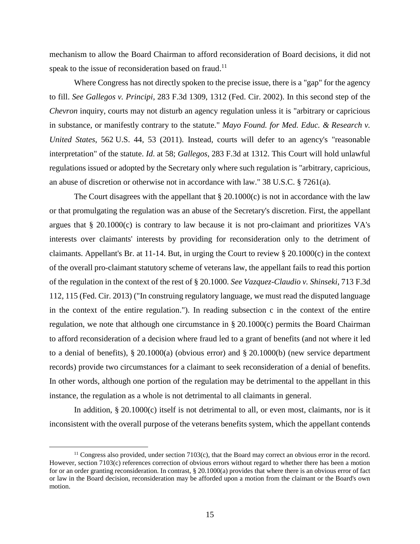mechanism to allow the Board Chairman to afford reconsideration of Board decisions, it did not speak to the issue of reconsideration based on fraud.<sup>11</sup>

Where Congress has not directly spoken to the precise issue, there is a "gap" for the agency to fill. *See Gallegos v. Principi*, 283 F.3d 1309, 1312 (Fed. Cir. 2002). In this second step of the *[Chevron](https://1.next.westlaw.com/Link/Document/FullText?findType=Y&serNum=1984130736&originatingDoc=Ia3ee3855ba2511e191598982704508d1&refType=RP&originationContext=document&transitionType=DocumentItem&contextData=(sc.Default))* inquiry, courts may not disturb an agency regulation unless it is "arbitrary or capricious in substance, or manifestly contrary to the statute." *Mayo Found. for Med. Educ. & Research v. United States*, 562 U.S. 44, 53 (2011). Instead, courts will defer to an agency's "reasonable interpretation" of the statute. *Id*[. at 58;](https://1.next.westlaw.com/Link/Document/FullText?findType=Y&serNum=2024334473&originatingDoc=Ia3ee3855ba2511e191598982704508d1&refType=RP&originationContext=document&transitionType=DocumentItem&contextData=(sc.Default)) *Gallegos*, 283 F.3d at 1312. This Court will hold unlawful regulations issued or adopted by the Secretary only where such regulation is "arbitrary, capricious, an abuse of discretion or otherwise not in accordance with law." 38 U.S.C. § 7261(a).

The Court disagrees with the appellant that  $\S 20.1000(c)$  is not in accordance with the law or that promulgating the regulation was an abuse of the Secretary's discretion. First, the appellant argues that § 20.1000(c) is contrary to law because it is not pro-claimant and prioritizes VA's interests over claimants' interests by providing for reconsideration only to the detriment of claimants. Appellant's Br. at 11-14. But, in urging the Court to review  $\S 20.1000(c)$  in the context of the overall pro-claimant statutory scheme of veterans law, the appellant fails to read this portion of the regulation in the context of the rest of § 20.1000. *See Vazquez-Claudio v. Shinseki*, 713 F.3d 112, 115 (Fed. Cir. 2013) ("In construing regulatory language, we must read the disputed language in the context of the entire regulation."). In reading subsection c in the context of the entire regulation, we note that although one circumstance in § 20.1000(c) permits the Board Chairman to afford reconsideration of a decision where fraud led to a grant of benefits (and not where it led to a denial of benefits), § 20.1000(a) (obvious error) and § 20.1000(b) (new service department records) provide two circumstances for a claimant to seek reconsideration of a denial of benefits. In other words, although one portion of the regulation may be detrimental to the appellant in this instance, the regulation as a whole is not detrimental to all claimants in general.

In addition, § 20.1000(c) itself is not detrimental to all, or even most, claimants, nor is it inconsistent with the overall purpose of the veterans benefits system, which the appellant contends

<sup>&</sup>lt;sup>11</sup> Congress also provided, under section 7103(c), that the Board may correct an obvious error in the record. However, section 7103(c) references correction of obvious errors without regard to whether there has been a motion for or an order granting reconsideration. In contrast, § 20.1000(a) provides that where there is an obvious error of fact or law in the Board decision, reconsideration may be afforded upon a motion from the claimant or the Board's own motion.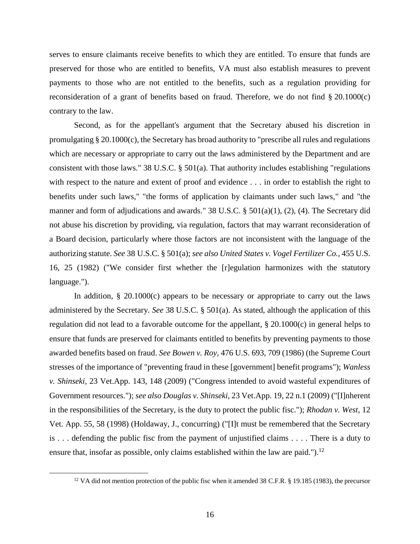serves to ensure claimants receive benefits to which they are entitled. To ensure that funds are preserved for those who are entitled to benefits, VA must also establish measures to prevent payments to those who are not entitled to the benefits, such as a regulation providing for reconsideration of a grant of benefits based on fraud. Therefore, we do not find § 20.1000(c) contrary to the law.

Second, as for the appellant's argument that the Secretary abused his discretion in promulgating § 20.1000(c), the Secretary has broad authority to "prescribe all rules and regulations which are necessary or appropriate to carry out the laws administered by the Department and are consistent with those laws." [38 U.S.C. § 501\(a\).](https://1.next.westlaw.com/Link/Document/FullText?findType=L&pubNum=1000546&cite=38USCAS501&originatingDoc=I78856700a4e711e9a3ecec4a01914b9c&refType=RB&originationContext=document&transitionType=DocumentItem&contextData=(sc.Search)#co_pp_8b3b0000958a4) That authority includes establishing "regulations with respect to the nature and extent of proof and evidence . . . in order to establish the right to benefits under such laws," "the forms of application by claimants under such laws," and "the manner and form of adjudications and awards." 38 U.S.C. § 501(a)(1), (2), (4). The Secretary did not abuse his discretion by providing, via regulation, factors that may warrant reconsideration of a Board decision, particularly where those factors are not inconsistent with the language of the authorizing statute. *See* 38 U.S.C. § 501(a); *see also United States v. Vogel Fertilizer Co.*, 455 U.S. 16, 25 (1982) ("We consider first whether the [r]egulation harmonizes with the statutory language.").

In addition,  $\S$  20.1000 $(c)$  appears to be necessary or appropriate to carry out the laws administered by the Secretary. *See* 38 U.S.C. § 501(a). As stated, although the application of this regulation did not lead to a favorable outcome for the appellant, § 20.1000(c) in general helps to ensure that funds are preserved for claimants entitled to benefits by preventing payments to those awarded benefits based on fraud. *See Bowen v. Roy,* 476 U.S. 693, 709 (1986) (the Supreme Court stresses of the importance of "preventing fraud in these [government] benefit programs"); *Wanless v. Shinseki*, 23 Vet.App. 143, 148 (2009) ("Congress intended to avoid wasteful expenditures of Government resources."); *see also Douglas v. Shinseki*, 23 Vet.App. 19, 22 n.1 (2009) ("[I]nherent in the responsibilities of the Secretary, is the duty to protect the public fisc."); *Rhodan v. West*, 12 Vet. App. 55, 58 (1998) (Holdaway, J., concurring) ("[I]t must be remembered that the Secretary is . . . defending the public fisc from the payment of unjustified claims . . . . There is a duty to ensure that, insofar as possible, only claims established within the law are paid." $\cdot$ .<sup>12</sup>

<sup>&</sup>lt;sup>12</sup> VA did not mention protection of the public fisc when it amended 38 C.F.R. § 19.185 (1983), the precursor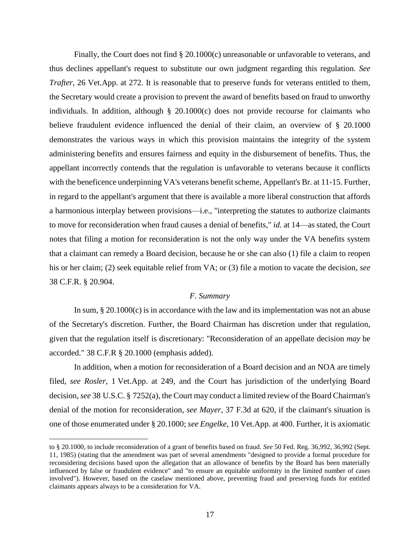Finally, the Court does not find § 20.1000(c) unreasonable or unfavorable to veterans, and thus declines appellant's request to substitute our own judgment regarding this regulation. *See Trafter*, 26 Vet.App. at 272. It is reasonable that to preserve funds for veterans entitled to them, the Secretary would create a provision to prevent the award of benefits based on fraud to unworthy individuals. In addition, although § 20.1000(c) does not provide recourse for claimants who believe fraudulent evidence influenced the denial of their claim, an overview of § 20.1000 demonstrates the various ways in which this provision maintains the integrity of the system administering benefits and ensures fairness and equity in the disbursement of benefits. Thus, the appellant incorrectly contends that the regulation is unfavorable to veterans because it conflicts with the beneficence underpinning VA's veterans benefit scheme, Appellant's Br. at 11-15. Further, in regard to the appellant's argument that there is available a more liberal construction that affords a harmonious interplay between provisions—i.e., "interpreting the statutes to authorize claimants to move for reconsideration when fraud causes a denial of benefits," *id*. at 14—as stated, the Court notes that filing a motion for reconsideration is not the only way under the VA benefits system that a claimant can remedy a Board decision, because he or she can also (1) file a claim to reopen his or her claim; (2) seek equitable relief from VA; or (3) file a motion to vacate the decision, *see* 38 C.F.R. § 20.904.

## *F. Summary*

In sum, § 20.1000(c) is in accordance with the law and its implementation was not an abuse of the Secretary's discretion. Further, the Board Chairman has discretion under that regulation, given that the regulation itself is discretionary: "Reconsideration of an appellate decision *may* be accorded." 38 C.F.R § 20.1000 (emphasis added).

In addition, when a motion for reconsideration of a Board decision and an NOA are timely filed, *see Rosler*, 1 Vet.App. at 249, and the Court has jurisdiction of the underlying Board decision, *see* 38 U.S.C. § 7252(a), the Court may conduct a limited review of the Board Chairman's denial of the motion for reconsideration, *see Mayer*, 37 F.3d at 620, if the claimant's situation is one of those enumerated under § 20.1000; *see Engelke*, 10 Vet.App. at 400. Further, it is axiomatic

to § 20.1000, to include reconsideration of a grant of benefits based on fraud. *See* 50 Fed. Reg. 36,992, 36,992 (Sept. 11, 1985) (stating that the amendment was part of several amendments "designed to provide a formal procedure for reconsidering decisions based upon the allegation that an allowance of benefits by the Board has been materially influenced by false or fraudulent evidence" and "to ensure an equitable uniformity in the limited number of cases involved"). However, based on the caselaw mentioned above, preventing fraud and preserving funds for entitled claimants appears always to be a consideration for VA.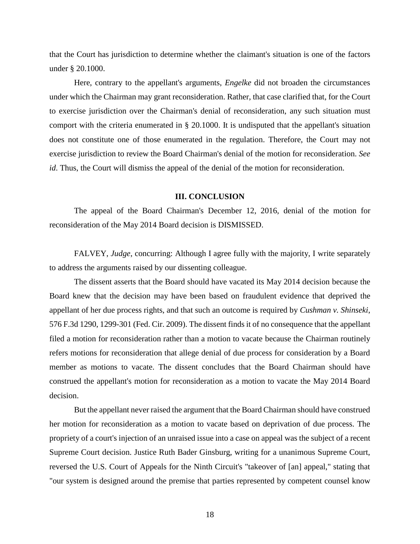that the Court has jurisdiction to determine whether the claimant's situation is one of the factors under § 20.1000.

Here, contrary to the appellant's arguments, *Engelke* did not broaden the circumstances under which the Chairman may grant reconsideration. Rather, that case clarified that, for the Court to exercise jurisdiction over the Chairman's denial of reconsideration, any such situation must comport with the criteria enumerated in § 20.1000. It is undisputed that the appellant's situation does not constitute one of those enumerated in the regulation. Therefore, the Court may not exercise jurisdiction to review the Board Chairman's denial of the motion for reconsideration. *See id*. Thus, the Court will dismiss the appeal of the denial of the motion for reconsideration.

#### **III. CONCLUSION**

The appeal of the Board Chairman's December 12, 2016, denial of the motion for reconsideration of the May 2014 Board decision is DISMISSED.

FALVEY, *Judge*, concurring: Although I agree fully with the majority, I write separately to address the arguments raised by our dissenting colleague.

The dissent asserts that the Board should have vacated its May 2014 decision because the Board knew that the decision may have been based on fraudulent evidence that deprived the appellant of her due process rights, and that such an outcome is required by *Cushman v. Shinseki*, 576 F.3d 1290, 1299-301 (Fed. Cir. 2009). The dissent finds it of no consequence that the appellant filed a motion for reconsideration rather than a motion to vacate because the Chairman routinely refers motions for reconsideration that allege denial of due process for consideration by a Board member as motions to vacate. The dissent concludes that the Board Chairman should have construed the appellant's motion for reconsideration as a motion to vacate the May 2014 Board decision.

But the appellant never raised the argument that the Board Chairman should have construed her motion for reconsideration as a motion to vacate based on deprivation of due process. The propriety of a court's injection of an unraised issue into a case on appeal was the subject of a recent Supreme Court decision. Justice Ruth Bader Ginsburg, writing for a unanimous Supreme Court, reversed the U.S. Court of Appeals for the Ninth Circuit's "takeover of [an] appeal," stating that "our system is designed around the premise that parties represented by competent counsel know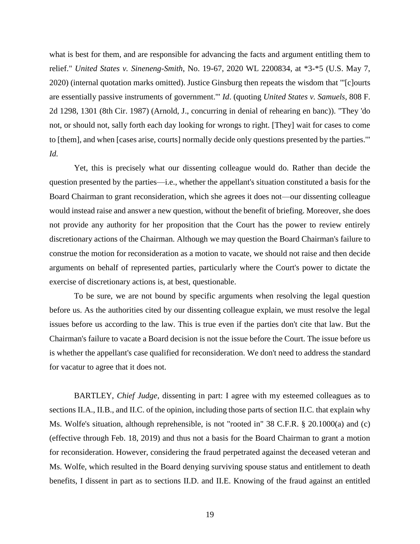what is best for them, and are responsible for advancing the facts and argument entitling them to relief." *United States v. Sineneng-Smith*, No. 19-67, 2020 WL 2200834, at \*3-\*5 (U.S. May 7, 2020) (internal quotation marks omitted). Justice Ginsburg then repeats the wisdom that "'[c]ourts are essentially passive instruments of government.'" *Id*. (quoting *United States v. Samuels*, 808 F. 2d 1298, 1301 (8th Cir. 1987) (Arnold, J., concurring in denial of rehearing en banc)). "They 'do not, or should not, sally forth each day looking for wrongs to right. [They] wait for cases to come to [them], and when [cases arise, courts] normally decide only questions presented by the parties.'" *Id.* 

Yet, this is precisely what our dissenting colleague would do. Rather than decide the question presented by the parties—i.e., whether the appellant's situation constituted a basis for the Board Chairman to grant reconsideration, which she agrees it does not—our dissenting colleague would instead raise and answer a new question, without the benefit of briefing. Moreover, she does not provide any authority for her proposition that the Court has the power to review entirely discretionary actions of the Chairman. Although we may question the Board Chairman's failure to construe the motion for reconsideration as a motion to vacate, we should not raise and then decide arguments on behalf of represented parties, particularly where the Court's power to dictate the exercise of discretionary actions is, at best, questionable.

To be sure, we are not bound by specific arguments when resolving the legal question before us. As the authorities cited by our dissenting colleague explain, we must resolve the legal issues before us according to the law. This is true even if the parties don't cite that law. But the Chairman's failure to vacate a Board decision is not the issue before the Court. The issue before us is whether the appellant's case qualified for reconsideration. We don't need to address the standard for vacatur to agree that it does not.

BARTLEY, *Chief Judge*, dissenting in part: I agree with my esteemed colleagues as to sections II.A., II.B., and II.C. of the opinion, including those parts of section II.C. that explain why Ms. Wolfe's situation, although reprehensible, is not "rooted in" 38 C.F.R. § 20.1000(a) and (c) (effective through Feb. 18, 2019) and thus not a basis for the Board Chairman to grant a motion for reconsideration. However, considering the fraud perpetrated against the deceased veteran and Ms. Wolfe, which resulted in the Board denying surviving spouse status and entitlement to death benefits, I dissent in part as to sections II.D. and II.E. Knowing of the fraud against an entitled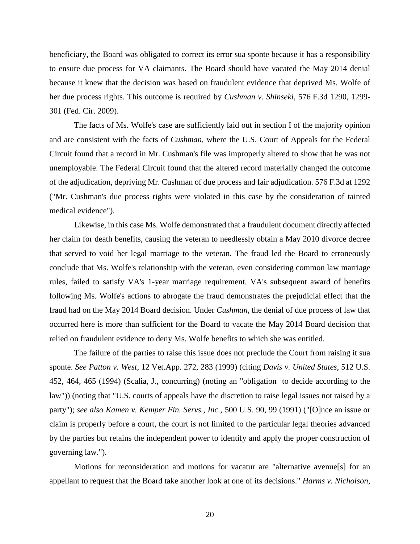beneficiary, the Board was obligated to correct its error sua sponte because it has a responsibility to ensure due process for VA claimants. The Board should have vacated the May 2014 denial because it knew that the decision was based on fraudulent evidence that deprived Ms. Wolfe of her due process rights. This outcome is required by *Cushman v. Shinseki*, 576 F.3d 1290, 1299- 301 (Fed. Cir. 2009).

The facts of Ms. Wolfe's case are sufficiently laid out in section I of the majority opinion and are consistent with the facts of *Cushman*, where the U.S. Court of Appeals for the Federal Circuit found that a record in Mr. Cushman's file was improperly altered to show that he was not unemployable. The Federal Circuit found that the altered record materially changed the outcome of the adjudication, depriving Mr. Cushman of due process and fair adjudication. 576 F.3d at 1292 ("Mr. Cushman's due process rights were violated in this case by the consideration of tainted medical evidence").

Likewise, in this case Ms. Wolfe demonstrated that a fraudulent document directly affected her claim for death benefits, causing the veteran to needlessly obtain a May 2010 divorce decree that served to void her legal marriage to the veteran. The fraud led the Board to erroneously conclude that Ms. Wolfe's relationship with the veteran, even considering common law marriage rules, failed to satisfy VA's 1-year marriage requirement. VA's subsequent award of benefits following Ms. Wolfe's actions to abrogate the fraud demonstrates the prejudicial effect that the fraud had on the May 2014 Board decision. Under *Cushman*, the denial of due process of law that occurred here is more than sufficient for the Board to vacate the May 2014 Board decision that relied on fraudulent evidence to deny Ms. Wolfe benefits to which she was entitled.

The failure of the parties to raise this issue does not preclude the Court from raising it sua sponte. *See Patton v. West*, 12 Vet.App. 272, 283 (1999) (citing *Davis v. United States*, 512 U.S. 452, 464, 465 (1994) (Scalia, J., concurring) (noting an "obligation to decide according to the law")) (noting that "U.S. courts of appeals have the discretion to raise legal issues not raised by a party"); *see also Kamen v. Kemper Fin. Servs., Inc.*, 500 U.S. 90, 99 (1991) ("[O]nce an issue or claim is properly before a court, the court is not limited to the particular legal theories advanced by the parties but retains the independent power to identify and apply the proper construction of governing law.").

Motions for reconsideration and motions for vacatur are "alternative avenue[s] for an appellant to request that the Board take another look at one of its decisions." *Harms v. Nicholson*,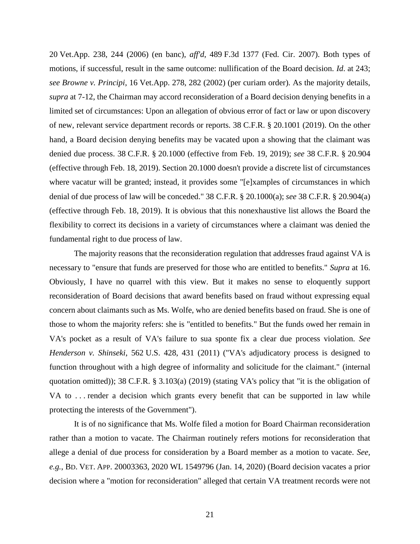20 Vet.App. 238, 244 (2006) (en banc), *aff'd*, 489 F.3d 1377 (Fed. Cir. 2007). Both types of motions, if successful, result in the same outcome: nullification of the Board decision. *Id*. at 243; *see Browne v. Principi*, 16 Vet.App. 278, 282 (2002) (per curiam order). As the majority details, *supra* at 7-12, the Chairman may accord reconsideration of a Board decision denying benefits in a limited set of circumstances: Upon an allegation of obvious error of fact or law or upon discovery of new, relevant service department records or reports. 38 C.F.R. § 20.1001 (2019). On the other hand, a Board decision denying benefits may be vacated upon a showing that the claimant was denied due process. 38 C.F.R. § 20.1000 (effective from Feb. 19, 2019); *see* 38 C.F.R. § 20.904 (effective through Feb. 18, 2019). Section 20.1000 doesn't provide a discrete list of circumstances where vacatur will be granted; instead, it provides some "[e]xamples of circumstances in which denial of due process of law will be conceded." 38 C.F.R. § 20.1000(a); *see* 38 C.F.R. § 20.904(a) (effective through Feb. 18, 2019). It is obvious that this nonexhaustive list allows the Board the flexibility to correct its decisions in a variety of circumstances where a claimant was denied the fundamental right to due process of law.

The majority reasons that the reconsideration regulation that addresses fraud against VA is necessary to "ensure that funds are preserved for those who are entitled to benefits." *Supra* at 16. Obviously, I have no quarrel with this view. But it makes no sense to eloquently support reconsideration of Board decisions that award benefits based on fraud without expressing equal concern about claimants such as Ms. Wolfe, who are denied benefits based on fraud. She is one of those to whom the majority refers: she is "entitled to benefits." But the funds owed her remain in VA's pocket as a result of VA's failure to sua sponte fix a clear due process violation. *See Henderson v. Shinseki*, 562 U.S. 428, 431 (2011) ("VA's adjudicatory process is designed to function throughout with a high degree of informality and solicitude for the claimant." (internal quotation omitted)); 38 C.F.R. § 3.103(a) (2019) (stating VA's policy that "it is the obligation of VA to . . . render a decision which grants every benefit that can be supported in law while protecting the interests of the Government").

It is of no significance that Ms. Wolfe filed a motion for Board Chairman reconsideration rather than a motion to vacate. The Chairman routinely refers motions for reconsideration that allege a denial of due process for consideration by a Board member as a motion to vacate. *See, e.g.*, BD. VET. APP. 20003363, 2020 WL 1549796 (Jan. 14, 2020) (Board decision vacates a prior decision where a "motion for reconsideration" alleged that certain VA treatment records were not